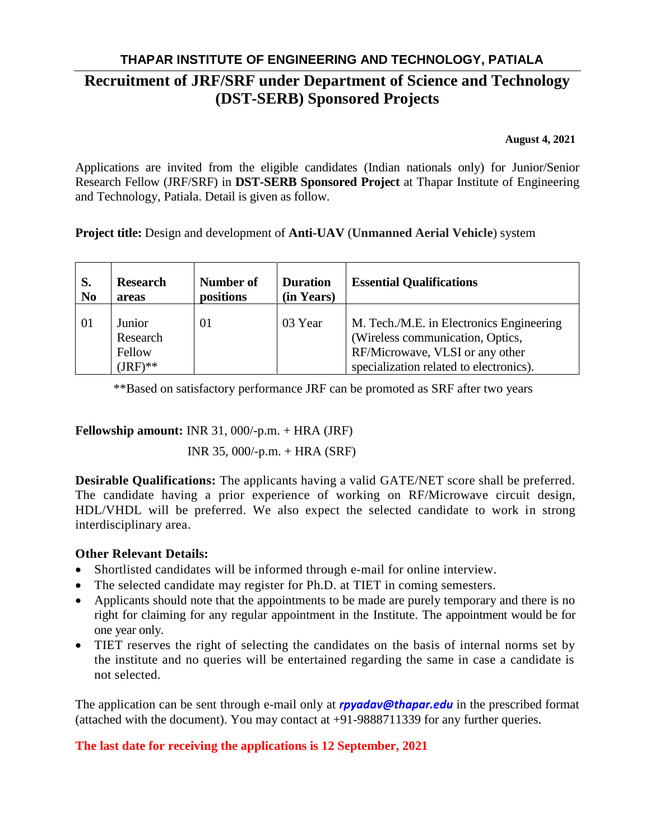## **THAPAR INSTITUTE OF ENGINEERING AND TECHNOLOGY, PATIALA Recruitment of JRF/SRF under Department of Science and Technology (DST-SERB) Sponsored Projects**

**August 4, 2021**

Applications are invited from the eligible candidates (Indian nationals only) for Junior/Senior Research Fellow (JRF/SRF) in **DST-SERB Sponsored Project** at Thapar Institute of Engineering and Technology, Patiala. Detail is given as follow.

**Project title:** Design and development of **Anti-UAV** (**Unmanned Aerial Vehicle**) system

| S.             | <b>Research</b>                            | Number of | <b>Duration</b> | <b>Essential Qualifications</b>                                                                                                                            |
|----------------|--------------------------------------------|-----------|-----------------|------------------------------------------------------------------------------------------------------------------------------------------------------------|
| N <sub>0</sub> | areas                                      | positions | (in Years)      |                                                                                                                                                            |
| -01            | Junior<br>Research<br>Fellow<br>$(JRF)$ ** | 01        | 03 Year         | M. Tech./M.E. in Electronics Engineering<br>(Wireless communication, Optics,<br>RF/Microwave, VLSI or any other<br>specialization related to electronics). |

\*\*Based on satisfactory performance JRF can be promoted as SRF after two years

**Fellowship amount:** INR 31, 000/-p.m. + HRA (JRF)

INR 35, 000/-p.m. + HRA (SRF)

**Desirable Qualifications:** The applicants having a valid GATE/NET score shall be preferred. The candidate having a prior experience of working on RF/Microwave circuit design, HDL/VHDL will be preferred. We also expect the selected candidate to work in strong interdisciplinary area.

## **Other Relevant Details:**

- Shortlisted candidates will be informed through e-mail for online interview.
- The selected candidate may register for Ph.D. at TIET in coming semesters.
- Applicants should note that the appointments to be made are purely temporary and there is no right for claiming for any regular appointment in the Institute. The appointment would be for one year only.
- TIET reserves the right of selecting the candidates on the basis of internal norms set by the institute and no queries will be entertained regarding the same in case a candidate is not selected.

The application can be sent through e-mail only at *rpyadav@thapar.edu* in the prescribed format (attached with the document). You may contact at +91-9888711339 for any further queries.

**The last date for receiving the applications is 12 September, 2021**